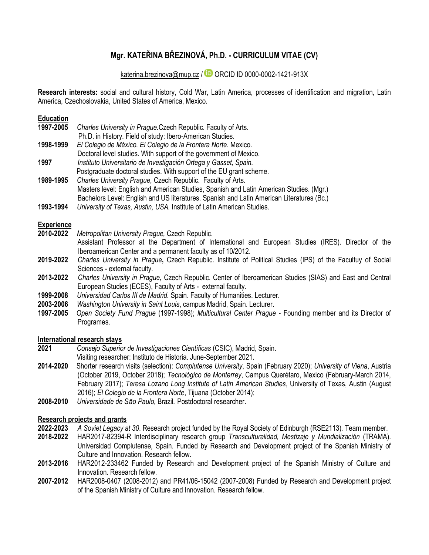# **Mgr. KATEŘINA BŘEZINOVÁ, Ph.D. - CURRICULUM VITAE (CV)**

[katerina.brezinova@mup.cz](mailto:katerina.brezinova@mup.cz)/  $\Box$  ORCID ID [0000-0002-1421-913X](http://orcid.org/0000-0002-1421-913X)

**Research interests:** social and cultural history, Cold War, Latin America, processes of identification and migration, Latin America, Czechoslovakia, United States of America, Mexico.

**Education**

| 1997-2005 | Charles University in Prague. Czech Republic. Faculty of Arts.                            |
|-----------|-------------------------------------------------------------------------------------------|
|           | Ph.D. in History. Field of study: Ibero-American Studies.                                 |
| 1998-1999 | El Colegio de México. El Colegio de la Frontera Norte. Mexico.                            |
|           | Doctoral level studies. With support of the government of Mexico.                         |
| 1997      | Instituto Universitario de Investigación Ortega y Gasset, Spain.                          |
|           | Postgraduate doctoral studies. With support of the EU grant scheme.                       |
| 1989-1995 | Charles University Prague, Czech Republic. Faculty of Arts.                               |
|           | Masters level: English and American Studies, Spanish and Latin American Studies. (Mgr.)   |
|           | Bachelors Level: English and US literatures. Spanish and Latin American Literatures (Bc.) |
| 1002 1001 | University of Toyce, Austin, UCA, Institute of Latin, American Studies                    |

**1993-1994** *University of Texas, Austin, USA.* Institute of Latin American Studies.

#### **Experience**

- **2010-2022** *Metropolitan University Prague,* Czech Republic.
	- Assistant Professor at the Department of International and European Studies (IRES). Director of the Iberoamerican Center and a permanent faculty as of 10/2012.
- **2019-2022** *Charles University in Prague***,** Czech Republic. Institute of Political Studies (IPS) of the Facultuy of Social Sciences - external faculty.
- **2013-2022** *Charles University in Prague***,** Czech Republic. Center of Iberoamerican Studies (SIAS) and East and Central European Studies (ECES), Faculty of Arts - external faculty.
- **1999-2008** *Universidad Carlos III de Madrid.* Spain. Faculty of Humanities. Lecturer.
- **2003-2006** *Washington University in Saint Louis*, campus Madrid, Spain. Lecturer.
- **1997-2005** *Open Society Fund Prague* (1997-1998); *Multicultural Center Prague* Founding member and its Director of Programes.

#### **International research stays**

- **2021** *Consejo Superior de Investigaciones Científicas* (CSIC), Madrid, Spain.
- Visiting researcher: Instituto de Historia. June-September 2021.
- **2014-2020** Shorter research visits (selection): *Complutense University*, Spain (February 2020); *University of Viena*, Austria (October 2019, October 2018); *Tecnológico de Monterrey*, Campus Querétaro, Mexico (February-March 2014, February 2017); *Teresa Lozano Long Institute of Latin American Studies*, University of Texas, Austin (August 2016); *El Colegio de la Frontera Norte*, Tijuana (October 2014);
- **2008-2010** *Universidade de São Paulo,* Brazil*.* Postdoctoral researcher**.**

#### **Research projects and grants**

- **2022-2023** *A Soviet Legacy at 30*. Research project funded by the Royal Society of Edinburgh (RSE2113)*.* Team member.
- **2018-2022** HAR2017-82394-R Interdisciplinary research group *Transculturalidad, Mestizaje y Mundialización* (TRAMA). Universidad Complutense*,* Spain. Funded by Research and Development project of the Spanish Ministry of Culture and Innovation. Research fellow.
- **2013-2016** HAR2012-233462 Funded by Research and Development project of the Spanish Ministry of Culture and Innovation. Research fellow.
- **2007-2012** HAR2008-0407 (2008-2012) and PR41/06-15042 (2007-2008) Funded by Research and Development project of the Spanish Ministry of Culture and Innovation. Research fellow.